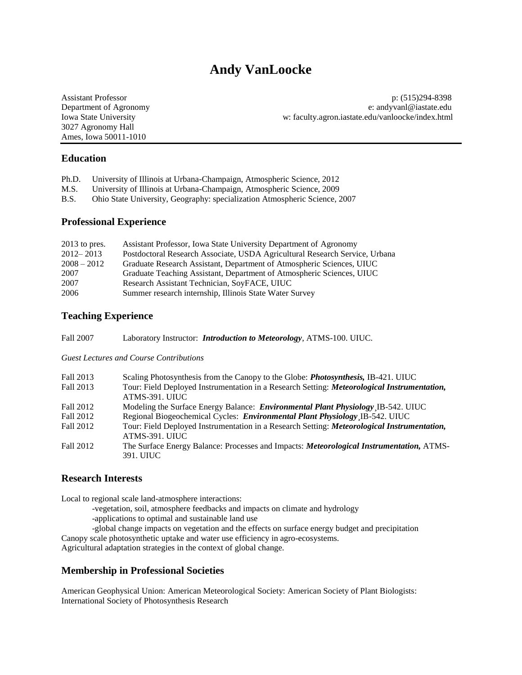# **Andy VanLoocke**

3027 Agronomy Hall Ames, Iowa 50011-1010

Assistant Professor p: (515)294-8398 Department of Agronomy e: andyvanl@iastate.edu Iowa State University [w: faculty.agron.iastate.edu/vanloocke/index.html](http://faculty.agron.iastate.edu/vanloocke/index.html)

# **Education**

| Ph.D. | University of Illinois at Urbana-Champaign, Atmospheric Science, 2012 |  |  |  |
|-------|-----------------------------------------------------------------------|--|--|--|
|       |                                                                       |  |  |  |

- M.S. University of Illinois at Urbana-Champaign, Atmospheric Science, 2009
- B.S. Ohio State University, Geography: specialization Atmospheric Science, 2007

# **Professional Experience**

| $2013$ to pres. | Assistant Professor, Iowa State University Department of Agronomy           |
|-----------------|-----------------------------------------------------------------------------|
| $2012 - 2013$   | Postdoctoral Research Associate, USDA Agricultural Research Service, Urbana |
| $2008 - 2012$   | Graduate Research Assistant, Department of Atmospheric Sciences, UIUC       |
| 2007            | Graduate Teaching Assistant, Department of Atmospheric Sciences, UIUC       |
| 2007            | Research Assistant Technician, SoyFACE, UIUC                                |
| 2006            | Summer research internship, Illinois State Water Survey                     |

# **Teaching Experience**

Fall 2007 Laboratory Instructor: *Introduction to Meteorology*, ATMS-100. UIUC.

*Guest Lectures and Course Contributions*

| Fall 2013 | Scaling Photosynthesis from the Canopy to the Globe: <i>Photosynthesis</i> , IB-421. UIUC        |
|-----------|--------------------------------------------------------------------------------------------------|
| Fall 2013 | Tour: Field Deployed Instrumentation in a Research Setting: Meteorological Instrumentation,      |
|           | ATMS-391. UIUC                                                                                   |
| Fall 2012 | Modeling the Surface Energy Balance: <i>Environmental Plant Physiology</i> IB-542. UIUC          |
| Fall 2012 | Regional Biogeochemical Cycles: <i>Environmental Plant Physiology</i> IB-542. UIUC               |
| Fall 2012 | Tour: Field Deployed Instrumentation in a Research Setting: Meteorological Instrumentation,      |
|           | ATMS-391. UIUC                                                                                   |
| Fall 2012 | The Surface Energy Balance: Processes and Impacts: <i>Meteorological Instrumentation</i> , ATMS- |
|           | 391. UIUC                                                                                        |

# **Research Interests**

Local to regional scale land-atmosphere interactions:

- -vegetation, soil, atmosphere feedbacks and impacts on climate and hydrology
- -applications to optimal and sustainable land use
- -global change impacts on vegetation and the effects on surface energy budget and precipitation Canopy scale photosynthetic uptake and water use efficiency in agro-ecosystems.

Agricultural adaptation strategies in the context of global change.

## **Membership in Professional Societies**

American Geophysical Union: American Meteorological Society: American Society of Plant Biologists: International Society of Photosynthesis Research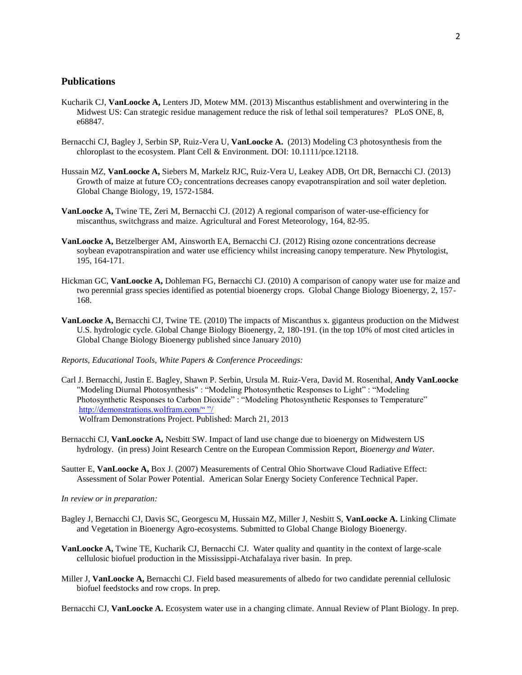# **Publications**

- Kucharik CJ, **VanLoocke A,** Lenters JD, Motew MM. (2013) Miscanthus establishment and overwintering in the Midwest US: Can strategic residue management reduce the risk of lethal soil temperatures? PLoS ONE, 8, e68847.
- Bernacchi CJ, Bagley J, Serbin SP, Ruiz-Vera U, **VanLoocke A.** (2013) Modeling C3 photosynthesis from the chloroplast to the ecosystem. Plant Cell & Environment*.* DOI: 10.1111/pce.12118.
- Hussain MZ, **VanLoocke A,** Siebers M, Markelz RJC, Ruiz-Vera U, Leakey ADB, Ort DR, Bernacchi CJ. (2013) Growth of maize at future CO<sub>2</sub> concentrations decreases canopy evapotranspiration and soil water depletion. Global Change Biology, 19, 1572-1584.
- **VanLoocke A,** Twine TE, Zeri M, Bernacchi CJ. (2012) A regional comparison of water-use-efficiency for miscanthus, switchgrass and maize. Agricultural and Forest Meteorology, 164, 82-95.
- **VanLoocke A,** Betzelberger AM, Ainsworth EA, Bernacchi CJ. (2012) Rising ozone concentrations decrease soybean evapotranspiration and water use efficiency whilst increasing canopy temperature. New Phytologist, 195, 164-171.
- Hickman GC, **VanLoocke A,** Dohleman FG, Bernacchi CJ. (2010) A comparison of canopy water use for maize and two perennial grass species identified as potential bioenergy crops. Global Change Biology Bioenergy, 2, 157- 168.
- **VanLoocke A,** Bernacchi CJ, Twine TE. (2010) The impacts of Miscanthus x. giganteus production on the Midwest U.S. hydrologic cycle. Global Change Biology Bioenergy, 2, 180-191. (in the top 10% of most cited articles in Global Change Biology Bioenergy published since January 2010)
- *Reports, Educational Tools, White Papers & Conference Proceedings:*
- [Carl J. Bernacchi,](http://demonstrations.wolfram.com/search.html?query=Carl%20J.%20Bernacchi) [Justin E. Bagley,](http://demonstrations.wolfram.com/search.html?query=Justin%20E.%20Bagley) [Shawn P. Serbin,](http://demonstrations.wolfram.com/search.html?query=Shawn%20P.%20Serbin) [Ursula M. Ruiz-Vera,](http://demonstrations.wolfram.com/search.html?query=Ursula%20M.%20Ruiz-Vera) [David M. Rosenthal,](http://demonstrations.wolfram.com/search.html?query=David%20M.%20Rosenthal) **[Andy VanLoocke](http://demonstrations.wolfram.com/search.html?query=Andy%20VanLoocke)** ["Modeling Diurnal Photosynthesis"](http://demonstrations.wolfram.com/ModelingDiurnalPhotosynthesis/) : "Modeling Photosynthetic Responses to Light" : "Modeling Photosynthetic Responses to Carbon Dioxide" : "Modeling Photosynthetic Responses to Temperature" [http://demonstrations.wolfram.com/" "/](http://demonstrations.wolfram.com/) [Wolfram Demonstrations Project.](http://demonstrations.wolfram.com/) Published: March 21, 2013
- Bernacchi CJ, **VanLoocke A,** Nesbitt SW. Impact of land use change due to bioenergy on Midwestern US hydrology. (in press) Joint Research Centre on the European Commission Report, *Bioenergy and Water.*
- Sautter E, **VanLoocke A,** Box J. (2007) Measurements of Central Ohio Shortwave Cloud Radiative Effect: Assessment of Solar Power Potential. American Solar Energy Society Conference Technical Paper.

*In review or in preparation:*

- Bagley J, Bernacchi CJ, Davis SC, Georgescu M, Hussain MZ, Miller J, Nesbitt S, **VanLoocke A.** Linking Climate and Vegetation in Bioenergy Agro-ecosystems. Submitted to Global Change Biology Bioenergy.
- **VanLoocke A,** Twine TE, Kucharik CJ, Bernacchi CJ. Water quality and quantity in the context of large-scale cellulosic biofuel production in the Mississippi-Atchafalaya river basin. In prep*.*
- Miller J, **VanLoocke A,** Bernacchi CJ. Field based measurements of albedo for two candidate perennial cellulosic biofuel feedstocks and row crops. In prep.

Bernacchi CJ, **VanLoocke A.** Ecosystem water use in a changing climate. Annual Review of Plant Biology. In prep.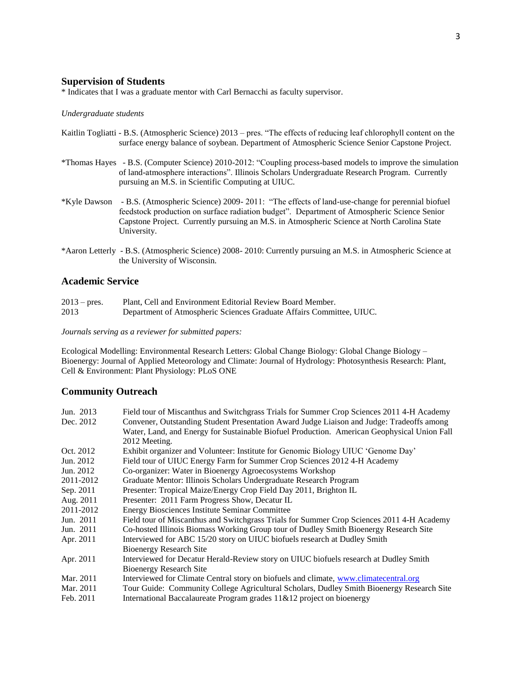#### **Supervision of Students**

\* Indicates that I was a graduate mentor with Carl Bernacchi as faculty supervisor.

#### *Undergraduate students*

- Kaitlin Togliatti B.S. (Atmospheric Science) 2013 pres. "The effects of reducing leaf chlorophyll content on the surface energy balance of soybean. Department of Atmospheric Science Senior Capstone Project.
- \*Thomas Hayes B.S. (Computer Science) 2010-2012: "Coupling process-based models to improve the simulation of land-atmosphere interactions". Illinois Scholars Undergraduate Research Program. Currently pursuing an M.S. in Scientific Computing at UIUC.
- \*Kyle Dawson B.S. (Atmospheric Science) 2009- 2011: "The effects of land-use-change for perennial biofuel feedstock production on surface radiation budget". Department of Atmospheric Science Senior Capstone Project. Currently pursuing an M.S. in Atmospheric Science at North Carolina State University.
- \*Aaron Letterly B.S. (Atmospheric Science) 2008- 2010: Currently pursuing an M.S. in Atmospheric Science at the University of Wisconsin.

## **Academic Service**

| $2013 - \text{pres.}$ | Plant, Cell and Environment Editorial Review Board Member.           |
|-----------------------|----------------------------------------------------------------------|
| 2013                  | Department of Atmospheric Sciences Graduate Affairs Committee, UIUC. |

#### *Journals serving as a reviewer for submitted papers:*

Ecological Modelling: Environmental Research Letters: Global Change Biology: Global Change Biology – Bioenergy: Journal of Applied Meteorology and Climate: Journal of Hydrology: Photosynthesis Research: Plant, Cell & Environment: Plant Physiology: PLoS ONE

#### **Community Outreach**

| Jun. 2013 | Field tour of Miscanthus and Switchgrass Trials for Summer Crop Sciences 2011 4-H Academy   |
|-----------|---------------------------------------------------------------------------------------------|
| Dec. 2012 | Convener, Outstanding Student Presentation Award Judge Liaison and Judge: Tradeoffs among   |
|           | Water, Land, and Energy for Sustainable Biofuel Production. American Geophysical Union Fall |
|           | 2012 Meeting.                                                                               |
| Oct. 2012 | Exhibit organizer and Volunteer: Institute for Genomic Biology UIUC 'Genome Day'            |
| Jun. 2012 | Field tour of UIUC Energy Farm for Summer Crop Sciences 2012 4-H Academy                    |
| Jun. 2012 | Co-organizer: Water in Bioenergy Agroecosystems Workshop                                    |
| 2011-2012 | Graduate Mentor: Illinois Scholars Undergraduate Research Program                           |
| Sep. 2011 | Presenter: Tropical Maize/Energy Crop Field Day 2011, Brighton IL                           |
| Aug. 2011 | Presenter: 2011 Farm Progress Show, Decatur IL                                              |
| 2011-2012 | Energy Biosciences Institute Seminar Committee                                              |
| Jun. 2011 | Field tour of Miscanthus and Switchgrass Trials for Summer Crop Sciences 2011 4-H Academy   |
| Jun. 2011 | Co-hosted Illinois Biomass Working Group tour of Dudley Smith Bioenergy Research Site       |
| Apr. 2011 | Interviewed for ABC 15/20 story on UIUC biofuels research at Dudley Smith                   |
|           | <b>Bioenergy Research Site</b>                                                              |
| Apr. 2011 | Interviewed for Decatur Herald-Review story on UIUC biofuels research at Dudley Smith       |
|           | <b>Bioenergy Research Site</b>                                                              |
| Mar. 2011 | Interviewed for Climate Central story on biofuels and climate, www.climatecentral.org       |
| Mar. 2011 | Tour Guide: Community College Agricultural Scholars, Dudley Smith Bioenergy Research Site   |
| Feb. 2011 | International Baccalaureate Program grades 11&12 project on bioenergy                       |
|           |                                                                                             |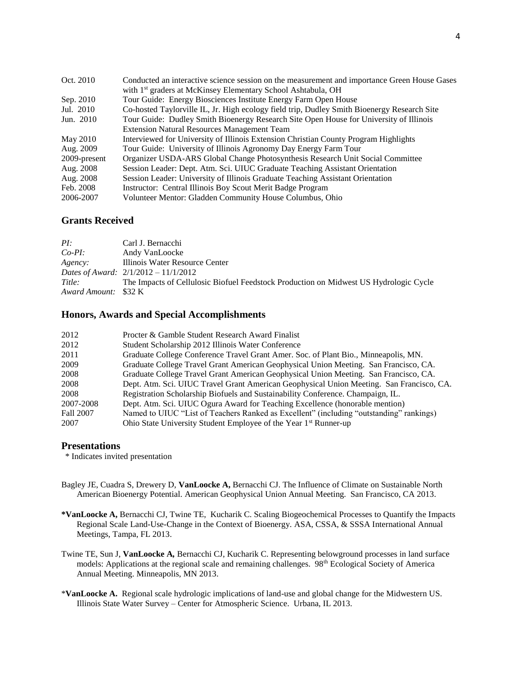| Oct. 2010    | Conducted an interactive science session on the measurement and importance Green House Gases |
|--------------|----------------------------------------------------------------------------------------------|
|              | with 1 <sup>st</sup> graders at McKinsey Elementary School Ashtabula, OH                     |
| Sep. 2010    | Tour Guide: Energy Biosciences Institute Energy Farm Open House                              |
| Jul. 2010    | Co-hosted Taylorville IL, Jr. High ecology field trip, Dudley Smith Bioenergy Research Site  |
| Jun. 2010    | Tour Guide: Dudley Smith Bioenergy Research Site Open House for University of Illinois       |
|              | <b>Extension Natural Resources Management Team</b>                                           |
| May 2010     | Interviewed for University of Illinois Extension Christian County Program Highlights         |
| Aug. 2009    | Tour Guide: University of Illinois Agronomy Day Energy Farm Tour                             |
| 2009-present | Organizer USDA-ARS Global Change Photosynthesis Research Unit Social Committee               |
| Aug. 2008    | Session Leader: Dept. Atm. Sci. UIUC Graduate Teaching Assistant Orientation                 |
| Aug. 2008    | Session Leader: University of Illinois Graduate Teaching Assistant Orientation               |
| Feb. 2008    | Instructor: Central Illinois Boy Scout Merit Badge Program                                   |
| 2006-2007    | Volunteer Mentor: Gladden Community House Columbus, Ohio                                     |

# **Grants Received**

| PL:                  | Carl J. Bernacchi                                                                     |
|----------------------|---------------------------------------------------------------------------------------|
| $Co-PI:$             | Andy VanLoocke                                                                        |
| Agency:              | Illinois Water Resource Center                                                        |
|                      | Dates of Award: $2/1/2012 - 11/1/2012$                                                |
| Title:               | The Impacts of Cellulosic Biofuel Feedstock Production on Midwest US Hydrologic Cycle |
| Award Amount: \$32 K |                                                                                       |

# **Honors, Awards and Special Accomplishments**

| 2012      | Procter & Gamble Student Research Award Finalist                                         |
|-----------|------------------------------------------------------------------------------------------|
| 2012      | Student Scholarship 2012 Illinois Water Conference                                       |
| 2011      | Graduate College Conference Travel Grant Amer. Soc. of Plant Bio., Minneapolis, MN.      |
| 2009      | Graduate College Travel Grant American Geophysical Union Meeting. San Francisco, CA.     |
| 2008      | Graduate College Travel Grant American Geophysical Union Meeting. San Francisco, CA.     |
| 2008      | Dept. Atm. Sci. UIUC Travel Grant American Geophysical Union Meeting. San Francisco, CA. |
| 2008      | Registration Scholarship Biofuels and Sustainability Conference. Champaign, IL.          |
| 2007-2008 | Dept. Atm. Sci. UIUC Ogura Award for Teaching Excellence (honorable mention)             |
| Fall 2007 | Named to UIUC "List of Teachers Ranked as Excellent" (including "outstanding" rankings)  |
| 2007      | Ohio State University Student Employee of the Year 1 <sup>st</sup> Runner-up             |

# **Presentations**

\* Indicates invited presentation

- Bagley JE, Cuadra S, Drewery D, **VanLoocke A,** Bernacchi CJ. The Influence of Climate on Sustainable North American Bioenergy Potential. American Geophysical Union Annual Meeting. San Francisco, CA 2013.
- **\*VanLoocke A,** Bernacchi CJ, Twine TE, Kucharik C. Scaling Biogeochemical Processes to Quantify the Impacts Regional Scale Land-Use-Change in the Context of Bioenergy. ASA, CSSA, & SSSA International Annual Meetings, Tampa, FL 2013.
- Twine TE, Sun J, **VanLoocke A***,* Bernacchi CJ, Kucharik C. Representing belowground processes in land surface models: Applications at the regional scale and remaining challenges. 98<sup>th</sup> Ecological Society of America Annual Meeting. Minneapolis, MN 2013.
- \***VanLoocke A.** Regional scale hydrologic implications of land-use and global change for the Midwestern US. Illinois State Water Survey – Center for Atmospheric Science. Urbana, IL 2013.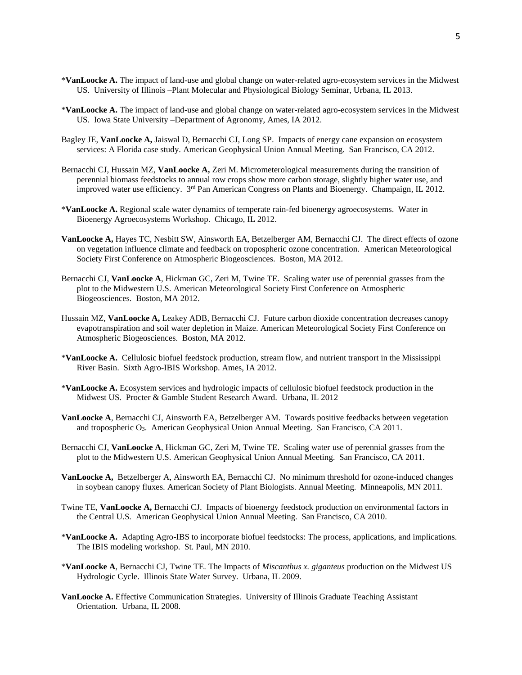- \***VanLoocke A.** The impact of land-use and global change on water-related agro-ecosystem services in the Midwest US. University of Illinois –Plant Molecular and Physiological Biology Seminar, Urbana, IL 2013.
- \***VanLoocke A.** The impact of land-use and global change on water-related agro-ecosystem services in the Midwest US. Iowa State University –Department of Agronomy, Ames, IA 2012.
- Bagley JE, **VanLoocke A,** Jaiswal D, Bernacchi CJ, Long SP. Impacts of energy cane expansion on ecosystem services: A Florida case study. American Geophysical Union Annual Meeting. San Francisco, CA 2012.
- Bernacchi CJ, Hussain MZ, **VanLoocke A,** Zeri M. Micrometerological measurements during the transition of perennial biomass feedstocks to annual row crops show more carbon storage, slightly higher water use, and improved water use efficiency. 3<sup>rd</sup> Pan American Congress on Plants and Bioenergy. Champaign, IL 2012.
- \***VanLoocke A.** Regional scale water dynamics of temperate rain-fed bioenergy agroecosystems. Water in Bioenergy Agroecosystems Workshop. Chicago, IL 2012.
- **VanLoocke A,** Hayes TC, Nesbitt SW, Ainsworth EA, Betzelberger AM, Bernacchi CJ. The direct effects of ozone on vegetation influence climate and feedback on tropospheric ozone concentration. American Meteorological Society First Conference on Atmospheric Biogeosciences. Boston, MA 2012.
- Bernacchi CJ, **VanLoocke A**, Hickman GC, Zeri M, Twine TE. Scaling water use of perennial grasses from the plot to the Midwestern U.S. American Meteorological Society First Conference on Atmospheric Biogeosciences. Boston, MA 2012.
- Hussain MZ, **VanLoocke A,** Leakey ADB, Bernacchi CJ. Future carbon dioxide concentration decreases canopy evapotranspiration and soil water depletion in Maize. American Meteorological Society First Conference on Atmospheric Biogeosciences. Boston, MA 2012.
- \***VanLoocke A.** Cellulosic biofuel feedstock production, stream flow, and nutrient transport in the Mississippi River Basin. Sixth Agro-IBIS Workshop. Ames, IA 2012.
- \***VanLoocke A.** Ecosystem services and hydrologic impacts of cellulosic biofuel feedstock production in the Midwest US. Procter & Gamble Student Research Award. Urbana, IL 2012
- **VanLoocke A**, Bernacchi CJ, Ainsworth EA, Betzelberger AM. Towards positive feedbacks between vegetation and tropospheric  $O_3$ . American Geophysical Union Annual Meeting. San Francisco, CA 2011.
- Bernacchi CJ, **VanLoocke A**, Hickman GC, Zeri M, Twine TE. Scaling water use of perennial grasses from the plot to the Midwestern U.S. American Geophysical Union Annual Meeting. San Francisco, CA 2011.
- **VanLoocke A,** Betzelberger A, Ainsworth EA, Bernacchi CJ. No minimum threshold for ozone-induced changes in soybean canopy fluxes. American Society of Plant Biologists. Annual Meeting. Minneapolis, MN 2011.
- Twine TE, **VanLoocke A,** Bernacchi CJ. Impacts of bioenergy feedstock production on environmental factors in the Central U.S. American Geophysical Union Annual Meeting. San Francisco, CA 2010.
- \***VanLoocke A.** Adapting Agro-IBS to incorporate biofuel feedstocks: The process, applications, and implications. The IBIS modeling workshop. St. Paul, MN 2010.
- \***VanLoocke A**, Bernacchi CJ, Twine TE. The Impacts of *Miscanthus x. giganteus* production on the Midwest US Hydrologic Cycle. Illinois State Water Survey. Urbana, IL 2009.
- **VanLoocke A.** Effective Communication Strategies. University of Illinois Graduate Teaching Assistant Orientation. Urbana, IL 2008.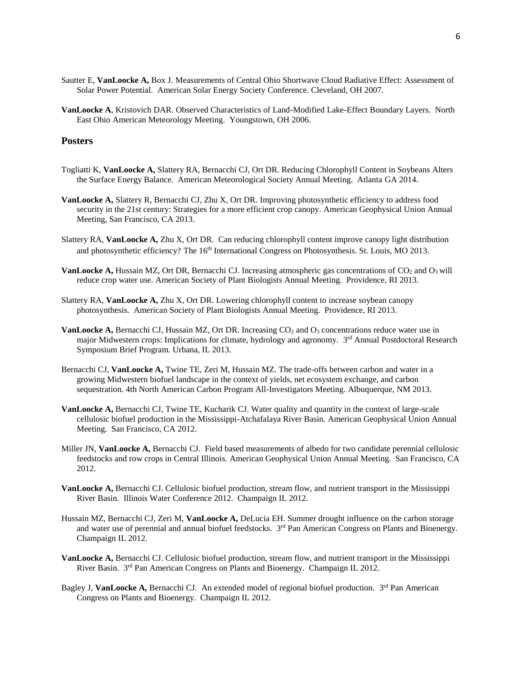- Sautter E, **VanLoocke A,** Box J. Measurements of Central Ohio Shortwave Cloud Radiative Effect: Assessment of Solar Power Potential. American Solar Energy Society Conference. Cleveland, OH 2007.
- **VanLoocke A**, Kristovich DAR. Observed Characteristics of Land-Modified Lake-Effect Boundary Layers. North East Ohio American Meteorology Meeting. Youngstown, OH 2006.

# **Posters**

- Togliatti K, **VanLoocke A,** Slattery RA, Bernacchi CJ, Ort DR. Reducing Chlorophyll Content in Soybeans Alters the Surface Energy Balance. American Meteorological Society Annual Meeting. Atlanta GA 2014.
- **VanLoocke A,** Slattery R, Bernacchi CJ, Zhu X, Ort DR. Improving photosynthetic efficiency to address food security in the 21st century: Strategies for a more efficient crop canopy. American Geophysical Union Annual Meeting, San Francisco, CA 2013.
- Slattery RA, **VanLoocke A,** Zhu X, Ort DR. Can reducing chlorophyll content improve canopy light distribution and photosynthetic efficiency? The 16<sup>th</sup> International Congress on Photosynthesis. St. Louis, MO 2013.
- **VanLoocke A, Hussain MZ, Ort DR, Bernacchi CJ. Increasing atmospheric gas concentrations of CO<sub>2</sub> and O<sub>3</sub> will** reduce crop water use. American Society of Plant Biologists Annual Meeting. Providence, RI 2013.
- Slattery RA, **VanLoocke A,** Zhu X, Ort DR. Lowering chlorophyll content to increase soybean canopy photosynthesis. American Society of Plant Biologists Annual Meeting. Providence, RI 2013.
- **VanLoocke A, Bernacchi CJ, Hussain MZ, Ort DR. Increasing CO<sub>2</sub> and O<sub>3</sub> concentrations reduce water use in** major Midwestern crops: Implications for climate, hydrology and agronomy. 3<sup>rd</sup> Annual Postdoctoral Research Symposium Brief Program. Urbana, IL 2013.
- Bernacchi CJ, **VanLoocke A,** Twine TE, Zeri M, Hussain MZ. The trade-offs between carbon and water in a growing Midwestern biofuel landscape in the context of yields, net ecosystem exchange, and carbon sequestration. 4th North American Carbon Program All-Investigators Meeting. Albuquerque, NM 2013.
- **VanLoocke A,** Bernacchi CJ, Twine TE, Kucharik CJ. Water quality and quantity in the context of large-scale cellulosic biofuel production in the Mississippi-Atchafalaya River Basin. American Geophysical Union Annual Meeting. San Francisco, CA 2012.
- Miller JN, **VanLoocke A,** Bernacchi CJ. Field based measurements of albedo for two candidate perennial cellulosic feedstocks and row crops in Central Illinois. American Geophysical Union Annual Meeting. San Francisco, CA 2012.
- **VanLoocke A,** Bernacchi CJ. Cellulosic biofuel production, stream flow, and nutrient transport in the Mississippi River Basin. Illinois Water Conference 2012. Champaign IL 2012.
- Hussain MZ, Bernacchi CJ, Zeri M, **VanLoocke A,** DeLucia EH. Summer drought influence on the carbon storage and water use of perennial and annual biofuel feedstocks.  $3<sup>rd</sup>$  Pan American Congress on Plants and Bioenergy. Champaign IL 2012.
- **VanLoocke A,** Bernacchi CJ. Cellulosic biofuel production, stream flow, and nutrient transport in the Mississippi River Basin. 3<sup>rd</sup> Pan American Congress on Plants and Bioenergy. Champaign IL 2012.
- Bagley J, VanLoocke A, Bernacchi CJ. An extended model of regional biofuel production. 3<sup>rd</sup> Pan American Congress on Plants and Bioenergy. Champaign IL 2012.